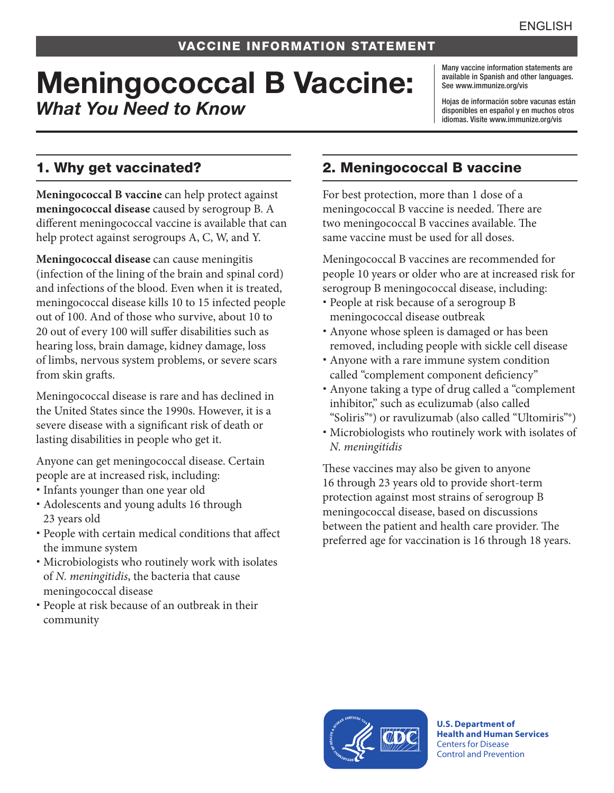# Meningococcal B Vaccine: *What You Need to Know*

Many vaccine information statements are available in Spanish and other languages. See [www.immunize.org/vis](http://www.immunize.org/vis)

Hojas de información sobre vacunas están disponibles en español y en muchos otros idiomas. Visite [www.immunize.org/vis](http://www.immunize.org/vis)

# 1. Why get vaccinated?

**Meningococcal B vaccine** can help protect against **meningococcal disease** caused by serogroup B. A different meningococcal vaccine is available that can help protect against serogroups A, C, W, and Y.

**Meningococcal disease** can cause meningitis (infection of the lining of the brain and spinal cord) and infections of the blood. Even when it is treated, meningococcal disease kills 10 to 15 infected people out of 100. And of those who survive, about 10 to 20 out of every 100 will suffer disabilities such as hearing loss, brain damage, kidney damage, loss of limbs, nervous system problems, or severe scars from skin grafts.

Meningococcal disease is rare and has declined in the United States since the 1990s. However, it is a severe disease with a significant risk of death or lasting disabilities in people who get it.

Anyone can get meningococcal disease. Certain people are at increased risk, including:

- Infants younger than one year old
- Adolescents and young adults 16 through 23 years old
- People with certain medical conditions that affect the immune system
- Microbiologists who routinely work with isolates of *N. meningitidis*, the bacteria that cause meningococcal disease
- People at risk because of an outbreak in their community

# 2. Meningococcal B vaccine

For best protection, more than 1 dose of a meningococcal B vaccine is needed. There are two meningococcal B vaccines available. The same vaccine must be used for all doses.

Meningococcal B vaccines are recommended for people 10 years or older who are at increased risk for serogroup B meningococcal disease, including:

- People at risk because of a serogroup B meningococcal disease outbreak
- Anyone whose spleen is damaged or has been removed, including people with sickle cell disease
- Anyone with a rare immune system condition called "complement component deficiency"
- Anyone taking a type of drug called a "complement inhibitor," such as eculizumab (also called "Soliris"®) or ravulizumab (also called "Ultomiris"®)
- Microbiologists who routinely work with isolates of *N. meningitidis*

These vaccines may also be given to anyone 16 through 23 years old to provide short-term protection against most strains of serogroup B meningococcal disease, based on discussions between the patient and health care provider. The preferred age for vaccination is 16 through 18 years.



**U.S. Department of Health and Human Services**  Centers for Disease Control and Prevention